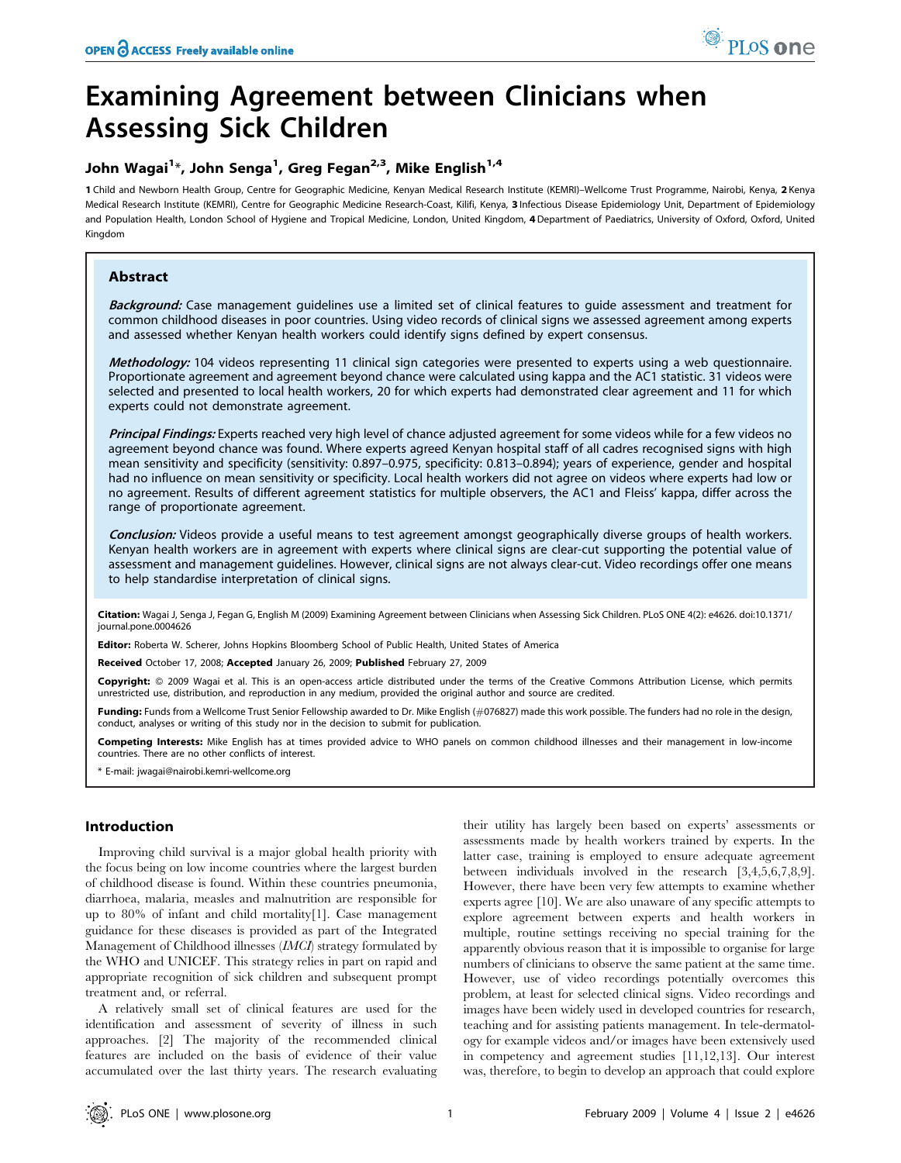# Examining Agreement between Clinicians when Assessing Sick Children

## John Wagai<sup>1</sup>\*, John Senga<sup>1</sup>, Greg Fegan<sup>2,3</sup>, Mike English<sup>1,4</sup>

1 Child and Newborn Health Group, Centre for Geographic Medicine, Kenyan Medical Research Institute (KEMRI)–Wellcome Trust Programme, Nairobi, Kenya, 2 Kenya Medical Research Institute (KEMRI), Centre for Geographic Medicine Research-Coast, Kilifi, Kenya, 3 Infectious Disease Epidemiology Unit, Department of Epidemiology and Population Health, London School of Hygiene and Tropical Medicine, London, United Kingdom, 4 Department of Paediatrics, University of Oxford, Oxford, United Kingdom

## Abstract

Background: Case management guidelines use a limited set of clinical features to guide assessment and treatment for common childhood diseases in poor countries. Using video records of clinical signs we assessed agreement among experts and assessed whether Kenyan health workers could identify signs defined by expert consensus.

Methodology: 104 videos representing 11 clinical sign categories were presented to experts using a web questionnaire. Proportionate agreement and agreement beyond chance were calculated using kappa and the AC1 statistic. 31 videos were selected and presented to local health workers, 20 for which experts had demonstrated clear agreement and 11 for which experts could not demonstrate agreement.

Principal Findings: Experts reached very high level of chance adjusted agreement for some videos while for a few videos no agreement beyond chance was found. Where experts agreed Kenyan hospital staff of all cadres recognised signs with high mean sensitivity and specificity (sensitivity: 0.897–0.975, specificity: 0.813–0.894); years of experience, gender and hospital had no influence on mean sensitivity or specificity. Local health workers did not agree on videos where experts had low or no agreement. Results of different agreement statistics for multiple observers, the AC1 and Fleiss' kappa, differ across the range of proportionate agreement.

Conclusion: Videos provide a useful means to test agreement amongst geographically diverse groups of health workers. Kenyan health workers are in agreement with experts where clinical signs are clear-cut supporting the potential value of assessment and management guidelines. However, clinical signs are not always clear-cut. Video recordings offer one means to help standardise interpretation of clinical signs.

Citation: Wagai J, Senga J, Fegan G, English M (2009) Examining Agreement between Clinicians when Assessing Sick Children. PLoS ONE 4(2): e4626. doi:10.1371/ journal.pone.0004626

Editor: Roberta W. Scherer, Johns Hopkins Bloomberg School of Public Health, United States of America

Received October 17, 2008; Accepted January 26, 2009; Published February 27, 2009

Copyright: @ 2009 Wagai et al. This is an open-access article distributed under the terms of the Creative Commons Attribution License, which permits unrestricted use, distribution, and reproduction in any medium, provided the original author and source are credited.

Funding: Funds from a Wellcome Trust Senior Fellowship awarded to Dr. Mike English (*#*076827) made this work possible. The funders had no role in the design, conduct, analyses or writing of this study nor in the decision to submit for publication.

Competing Interests: Mike English has at times provided advice to WHO panels on common childhood illnesses and their management in low-income countries. There are no other conflicts of interest.

\* E-mail: jwagai@nairobi.kemri-wellcome.org

## Introduction

Improving child survival is a major global health priority with the focus being on low income countries where the largest burden of childhood disease is found. Within these countries pneumonia, diarrhoea, malaria, measles and malnutrition are responsible for up to 80% of infant and child mortality[1]. Case management guidance for these diseases is provided as part of the Integrated Management of Childhood illnesses (IMCI) strategy formulated by the WHO and UNICEF. This strategy relies in part on rapid and appropriate recognition of sick children and subsequent prompt treatment and, or referral.

A relatively small set of clinical features are used for the identification and assessment of severity of illness in such approaches. [2] The majority of the recommended clinical features are included on the basis of evidence of their value accumulated over the last thirty years. The research evaluating

their utility has largely been based on experts' assessments or assessments made by health workers trained by experts. In the latter case, training is employed to ensure adequate agreement between individuals involved in the research [3,4,5,6,7,8,9]. However, there have been very few attempts to examine whether experts agree [10]. We are also unaware of any specific attempts to explore agreement between experts and health workers in multiple, routine settings receiving no special training for the apparently obvious reason that it is impossible to organise for large numbers of clinicians to observe the same patient at the same time. However, use of video recordings potentially overcomes this problem, at least for selected clinical signs. Video recordings and images have been widely used in developed countries for research, teaching and for assisting patients management. In tele-dermatology for example videos and/or images have been extensively used in competency and agreement studies [11,12,13]. Our interest was, therefore, to begin to develop an approach that could explore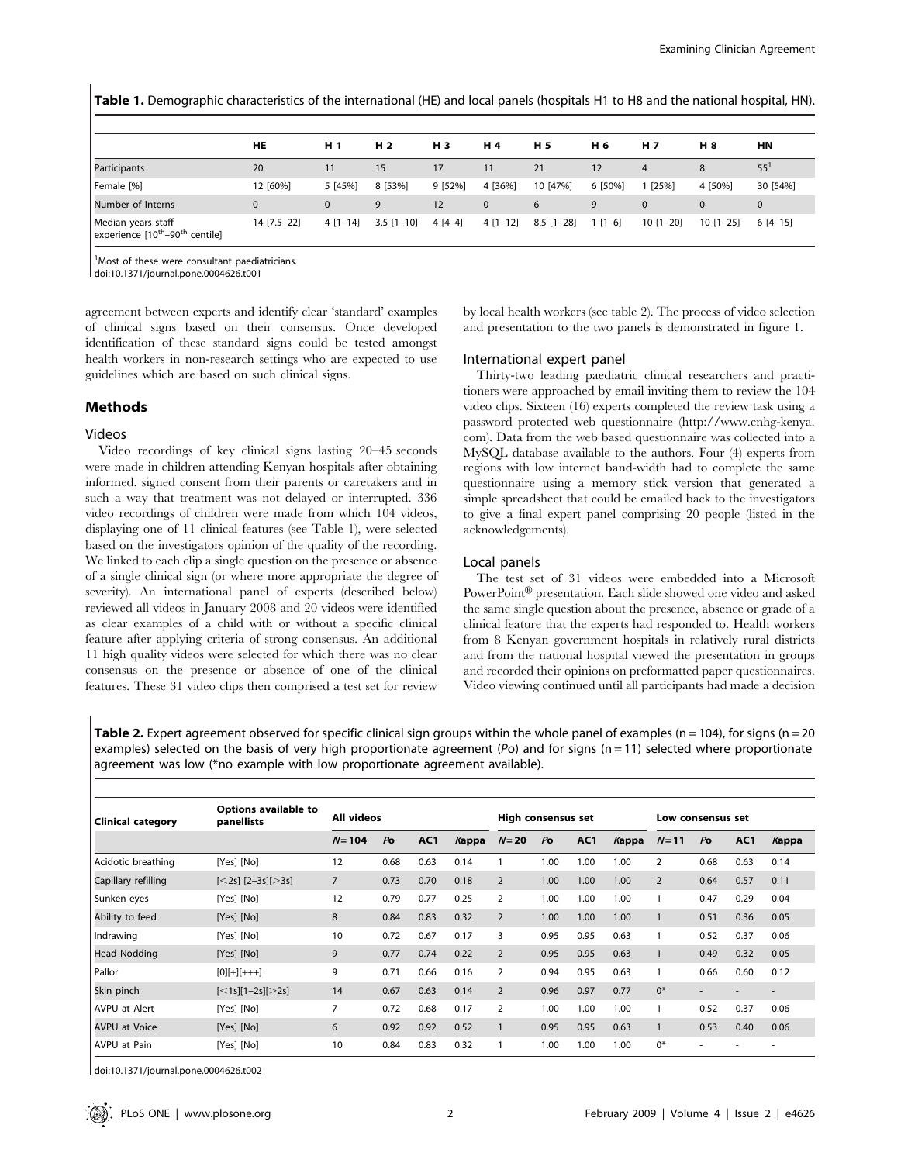Table 1. Demographic characteristics of the international (HE) and local panels (hospitals H1 to H8 and the national hospital, HN).

|                                        | <b>HE</b>   | H <sub>1</sub> | H <sub>2</sub> | H <sub>3</sub> | H 4       | H 5          | H 6       | <b>H7</b>       | H 8         | ΗN        |
|----------------------------------------|-------------|----------------|----------------|----------------|-----------|--------------|-----------|-----------------|-------------|-----------|
| Participants                           | 20          |                | 15             | 17             | 11        | 21           | 12        | 4               | 8           | $55^1$    |
| Female [%]                             | 12 [60%]    | 5 [45%]        | 8 [53%]        | 9 [52%]        | 4 [36%]   | 10 [47%]     | 6 [50%]   | $1$ [25%]       | 4 [50%]     | 30 [54%]  |
| Number of Interns                      |             | $\Omega$       |                | 12             |           | 6            |           | $\Omega$        | 0           | 0         |
| Median years staff<br>l i reathanth un | 14 [7.5-22] | $4$ [1-14]     | $3.5$ [1-10]   | $4[4-4]$       | $4[1-12]$ | $8.5$ [1-28] | $1 [1-6]$ | $10$ $[1 - 20]$ | $10$ [1-25] | $6[4-15]$ |

experience [10<sup>th</sup>–90<sup>th</sup> centile]

<sup>1</sup> Most of these were consultant paediatricians.

doi:10.1371/journal.pone.0004626.t001

agreement between experts and identify clear 'standard' examples of clinical signs based on their consensus. Once developed identification of these standard signs could be tested amongst health workers in non-research settings who are expected to use guidelines which are based on such clinical signs.

#### Methods

#### Videos

Video recordings of key clinical signs lasting 20–45 seconds were made in children attending Kenyan hospitals after obtaining informed, signed consent from their parents or caretakers and in such a way that treatment was not delayed or interrupted. 336 video recordings of children were made from which 104 videos, displaying one of 11 clinical features (see Table 1), were selected based on the investigators opinion of the quality of the recording. We linked to each clip a single question on the presence or absence of a single clinical sign (or where more appropriate the degree of severity). An international panel of experts (described below) reviewed all videos in January 2008 and 20 videos were identified as clear examples of a child with or without a specific clinical feature after applying criteria of strong consensus. An additional 11 high quality videos were selected for which there was no clear consensus on the presence or absence of one of the clinical features. These 31 video clips then comprised a test set for review by local health workers (see table 2). The process of video selection and presentation to the two panels is demonstrated in figure 1.

#### International expert panel

Thirty-two leading paediatric clinical researchers and practitioners were approached by email inviting them to review the 104 video clips. Sixteen (16) experts completed the review task using a password protected web questionnaire (http://www.cnhg-kenya. com). Data from the web based questionnaire was collected into a MySQL database available to the authors. Four (4) experts from regions with low internet band-width had to complete the same questionnaire using a memory stick version that generated a simple spreadsheet that could be emailed back to the investigators to give a final expert panel comprising 20 people (listed in the acknowledgements).

#### Local panels

The test set of 31 videos were embedded into a Microsoft PowerPoint® presentation. Each slide showed one video and asked the same single question about the presence, absence or grade of a clinical feature that the experts had responded to. Health workers from 8 Kenyan government hospitals in relatively rural districts and from the national hospital viewed the presentation in groups and recorded their opinions on preformatted paper questionnaires. Video viewing continued until all participants had made a decision

**Table 2.** Expert agreement observed for specific clinical sign groups within the whole panel of examples ( $n = 104$ ), for signs ( $n = 20$ examples) selected on the basis of very high proportionate agreement (Po) and for signs ( $n = 11$ ) selected where proportionate agreement was low (\*no example with low proportionate agreement available).

| <b>Clinical category</b> | <b>Options available to</b><br>panellists                                 | All videos     |                |                 | High consensus set |                |                |                 | Low consensus set |                |                |      |       |
|--------------------------|---------------------------------------------------------------------------|----------------|----------------|-----------------|--------------------|----------------|----------------|-----------------|-------------------|----------------|----------------|------|-------|
|                          |                                                                           | $N = 104$      | P <sub>O</sub> | AC <sub>1</sub> | Kappa              | $N=20$         | P <sub>O</sub> | AC <sub>1</sub> | Kappa             | $N = 11$       | P <sub>O</sub> | AC1  | Kappa |
| Acidotic breathing       | [Yes] [No]                                                                | 12             | 0.68           | 0.63            | 0.14               |                | 1.00           | 1.00            | 1.00              | 2              | 0.68           | 0.63 | 0.14  |
| Capillary refilling      | $[-2s]$ $[2-3s]$ $[>3s]$                                                  | $\overline{7}$ | 0.73           | 0.70            | 0.18               | 2              | 1.00           | 1.00            | 1.00              | $\overline{2}$ | 0.64           | 0.57 | 0.11  |
| Sunken eyes              | [Yes] [No]                                                                | 12             | 0.79           | 0.77            | 0.25               | 2              | 1.00           | 1.00            | 1.00              | 1              | 0.47           | 0.29 | 0.04  |
| Ability to feed          | [Yes] [No]                                                                | 8              | 0.84           | 0.83            | 0.32               | 2              | 1.00           | 1.00            | 1.00              |                | 0.51           | 0.36 | 0.05  |
| Indrawing                | [Yes] [No]                                                                | 10             | 0.72           | 0.67            | 0.17               | 3              | 0.95           | 0.95            | 0.63              | 1              | 0.52           | 0.37 | 0.06  |
| <b>Head Nodding</b>      | [Yes] [No]                                                                | 9              | 0.77           | 0.74            | 0.22               | $\overline{2}$ | 0.95           | 0.95            | 0.63              | 1              | 0.49           | 0.32 | 0.05  |
| <b>Pallor</b>            | $[0][+][+++]$                                                             | 9              | 0.71           | 0.66            | 0.16               | 2              | 0.94           | 0.95            | 0.63              | 1              | 0.66           | 0.60 | 0.12  |
| Skin pinch               | $\left[ \langle 1s \right]$ $\left[ 1 - 2s \right]$ $\left[ > 2s \right]$ | 14             | 0.67           | 0.63            | 0.14               | $\overline{2}$ | 0.96           | 0.97            | 0.77              | $0*$           |                |      |       |
| <b>AVPU at Alert</b>     | [Yes] [No]                                                                | 7              | 0.72           | 0.68            | 0.17               | 2              | 1.00           | 1.00            | 1.00              |                | 0.52           | 0.37 | 0.06  |
| <b>AVPU at Voice</b>     | [Yes] [No]                                                                | 6              | 0.92           | 0.92            | 0.52               | 1              | 0.95           | 0.95            | 0.63              | 1              | 0.53           | 0.40 | 0.06  |
| AVPU at Pain             | [Yes] [No]                                                                | 10             | 0.84           | 0.83            | 0.32               |                | 1.00           | 1.00            | 1.00              | $0*$           |                |      |       |

doi:10.1371/journal.pone.0004626.t002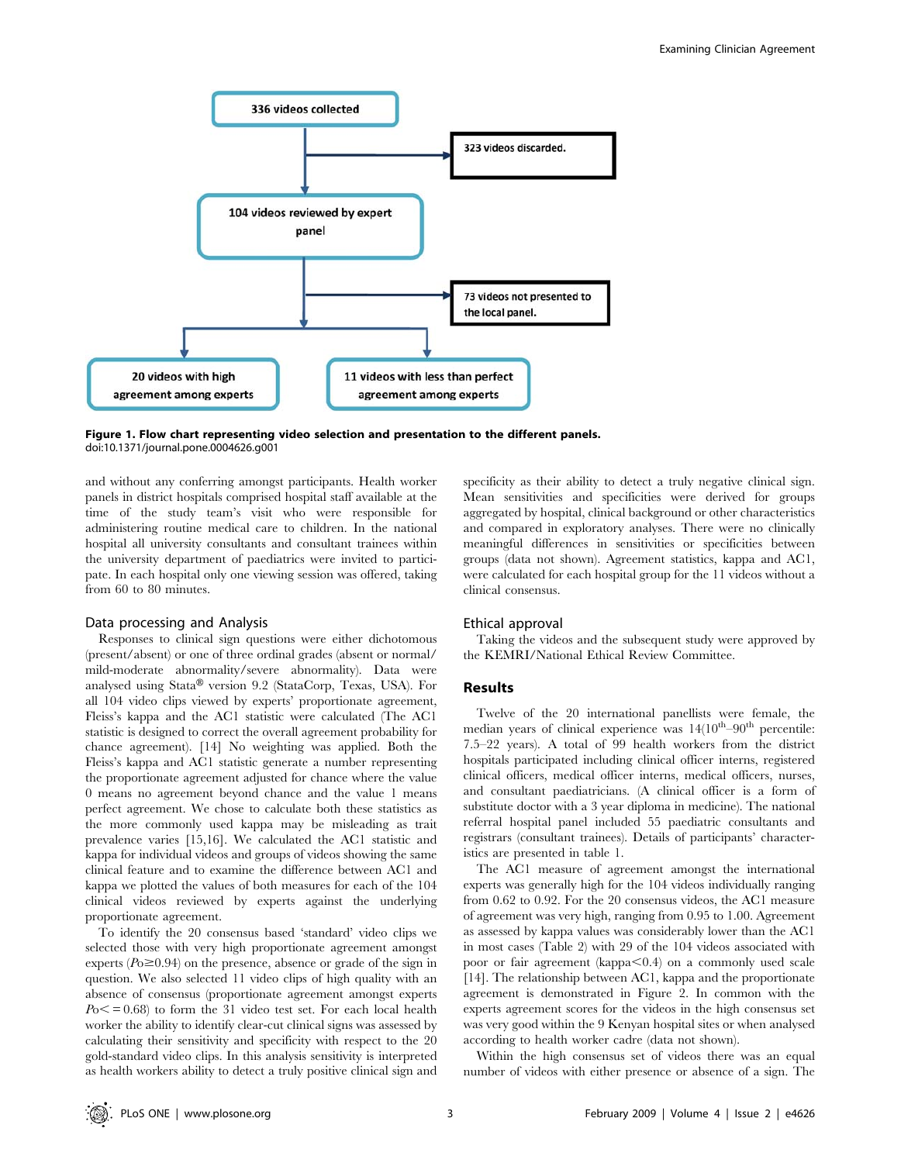

Figure 1. Flow chart representing video selection and presentation to the different panels. doi:10.1371/journal.pone.0004626.g001

and without any conferring amongst participants. Health worker panels in district hospitals comprised hospital staff available at the time of the study team's visit who were responsible for administering routine medical care to children. In the national hospital all university consultants and consultant trainees within the university department of paediatrics were invited to participate. In each hospital only one viewing session was offered, taking from 60 to 80 minutes.

#### Data processing and Analysis

Responses to clinical sign questions were either dichotomous (present/absent) or one of three ordinal grades (absent or normal/ mild-moderate abnormality/severe abnormality). Data were analysed using  $Stata^{\circledR}$  version 9.2 (StataCorp, Texas, USA). For all 104 video clips viewed by experts' proportionate agreement, Fleiss's kappa and the AC1 statistic were calculated (The AC1 statistic is designed to correct the overall agreement probability for chance agreement). [14] No weighting was applied. Both the Fleiss's kappa and AC1 statistic generate a number representing the proportionate agreement adjusted for chance where the value 0 means no agreement beyond chance and the value 1 means perfect agreement. We chose to calculate both these statistics as the more commonly used kappa may be misleading as trait prevalence varies [15,16]. We calculated the AC1 statistic and kappa for individual videos and groups of videos showing the same clinical feature and to examine the difference between AC1 and kappa we plotted the values of both measures for each of the 104 clinical videos reviewed by experts against the underlying proportionate agreement.

To identify the 20 consensus based 'standard' video clips we selected those with very high proportionate agreement amongst experts ( $Po \ge 0.94$ ) on the presence, absence or grade of the sign in question. We also selected 11 video clips of high quality with an absence of consensus (proportionate agreement amongst experts  $P<sub>0</sub> < 0.68$  to form the 31 video test set. For each local health worker the ability to identify clear-cut clinical signs was assessed by calculating their sensitivity and specificity with respect to the 20 gold-standard video clips. In this analysis sensitivity is interpreted as health workers ability to detect a truly positive clinical sign and specificity as their ability to detect a truly negative clinical sign. Mean sensitivities and specificities were derived for groups aggregated by hospital, clinical background or other characteristics and compared in exploratory analyses. There were no clinically meaningful differences in sensitivities or specificities between groups (data not shown). Agreement statistics, kappa and AC1, were calculated for each hospital group for the 11 videos without a clinical consensus.

#### Ethical approval

Taking the videos and the subsequent study were approved by the KEMRI/National Ethical Review Committee.

#### Results

Twelve of the 20 international panellists were female, the median years of clinical experience was  $14(10^{th}-90^{th})$  percentile: 7.5–22 years). A total of 99 health workers from the district hospitals participated including clinical officer interns, registered clinical officers, medical officer interns, medical officers, nurses, and consultant paediatricians. (A clinical officer is a form of substitute doctor with a 3 year diploma in medicine). The national referral hospital panel included 55 paediatric consultants and registrars (consultant trainees). Details of participants' characteristics are presented in table 1.

The AC1 measure of agreement amongst the international experts was generally high for the 104 videos individually ranging from 0.62 to 0.92. For the 20 consensus videos, the AC1 measure of agreement was very high, ranging from 0.95 to 1.00. Agreement as assessed by kappa values was considerably lower than the AC1 in most cases (Table 2) with 29 of the 104 videos associated with poor or fair agreement (kappa $< 0.4$ ) on a commonly used scale [14]. The relationship between AC1, kappa and the proportionate agreement is demonstrated in Figure 2. In common with the experts agreement scores for the videos in the high consensus set was very good within the 9 Kenyan hospital sites or when analysed according to health worker cadre (data not shown).

Within the high consensus set of videos there was an equal number of videos with either presence or absence of a sign. The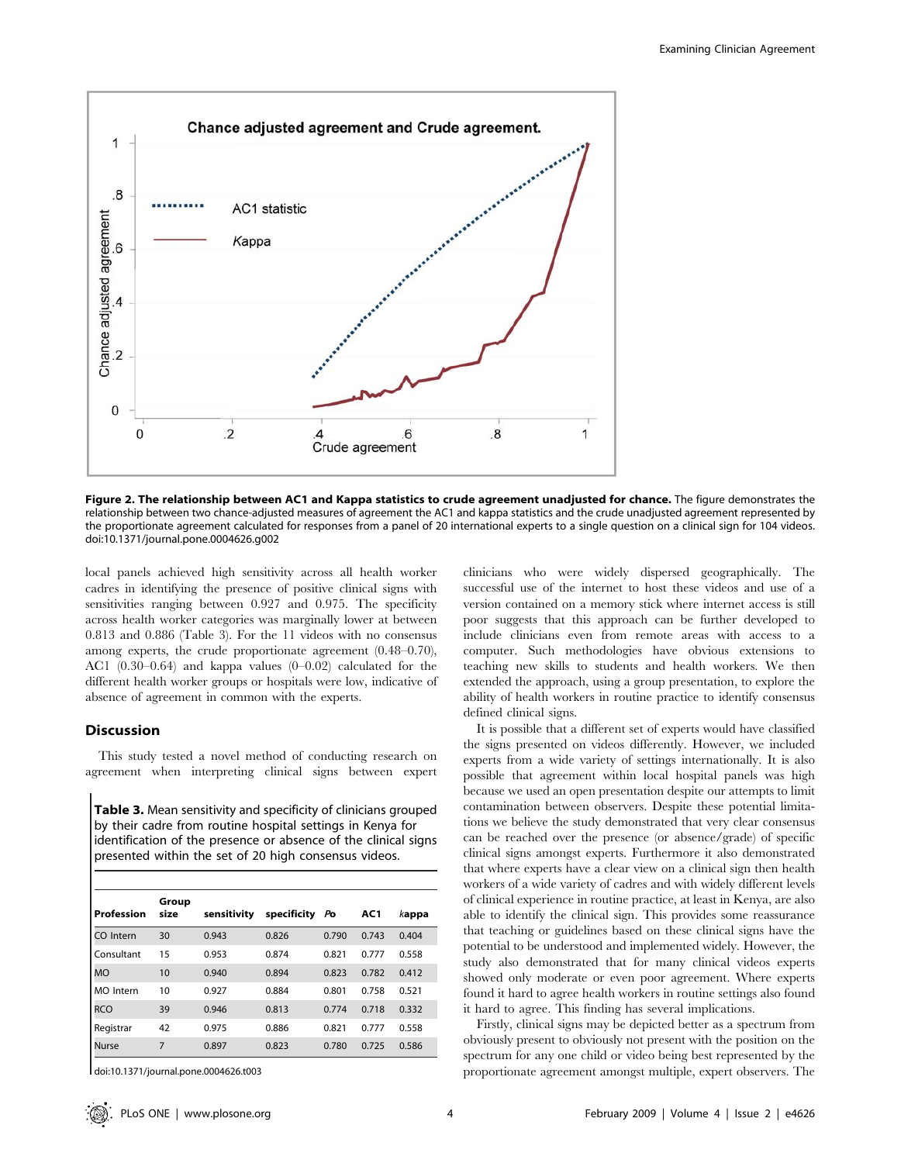

Figure 2. The relationship between AC1 and Kappa statistics to crude agreement unadjusted for chance. The figure demonstrates the relationship between two chance-adjusted measures of agreement the AC1 and kappa statistics and the crude unadjusted agreement represented by the proportionate agreement calculated for responses from a panel of 20 international experts to a single question on a clinical sign for 104 videos. doi:10.1371/journal.pone.0004626.g002

local panels achieved high sensitivity across all health worker cadres in identifying the presence of positive clinical signs with sensitivities ranging between 0.927 and 0.975. The specificity across health worker categories was marginally lower at between 0.813 and 0.886 (Table 3). For the 11 videos with no consensus among experts, the crude proportionate agreement (0.48–0.70), AC1 (0.30–0.64) and kappa values (0–0.02) calculated for the different health worker groups or hospitals were low, indicative of absence of agreement in common with the experts.

### Discussion

This study tested a novel method of conducting research on agreement when interpreting clinical signs between expert

Table 3. Mean sensitivity and specificity of clinicians grouped by their cadre from routine hospital settings in Kenya for identification of the presence or absence of the clinical signs presented within the set of 20 high consensus videos.

| Profession       | Group<br>size | sensitivity | specificity | Po    | AC1   | kappa |
|------------------|---------------|-------------|-------------|-------|-------|-------|
| CO Intern        | 30            | 0.943       | 0.826       | 0.790 | 0.743 | 0.404 |
| Consultant       | 15            | 0.953       | 0.874       | 0.821 | 0.777 | 0.558 |
| <b>MO</b>        | 10            | 0.940       | 0.894       | 0.823 | 0.782 | 0.412 |
| <b>MO</b> Intern | 10            | 0.927       | 0.884       | 0.801 | 0.758 | 0.521 |
| <b>RCO</b>       | 39            | 0.946       | 0.813       | 0.774 | 0.718 | 0.332 |
| Registrar        | 42            | 0.975       | 0.886       | 0.821 | 0.777 | 0.558 |
| <b>Nurse</b>     | 7             | 0.897       | 0.823       | 0.780 | 0.725 | 0.586 |

doi:10.1371/journal.pone.0004626.t003

clinicians who were widely dispersed geographically. The successful use of the internet to host these videos and use of a version contained on a memory stick where internet access is still poor suggests that this approach can be further developed to include clinicians even from remote areas with access to a computer. Such methodologies have obvious extensions to teaching new skills to students and health workers. We then extended the approach, using a group presentation, to explore the ability of health workers in routine practice to identify consensus defined clinical signs.

It is possible that a different set of experts would have classified the signs presented on videos differently. However, we included experts from a wide variety of settings internationally. It is also possible that agreement within local hospital panels was high because we used an open presentation despite our attempts to limit contamination between observers. Despite these potential limitations we believe the study demonstrated that very clear consensus can be reached over the presence (or absence/grade) of specific clinical signs amongst experts. Furthermore it also demonstrated that where experts have a clear view on a clinical sign then health workers of a wide variety of cadres and with widely different levels of clinical experience in routine practice, at least in Kenya, are also able to identify the clinical sign. This provides some reassurance that teaching or guidelines based on these clinical signs have the potential to be understood and implemented widely. However, the study also demonstrated that for many clinical videos experts showed only moderate or even poor agreement. Where experts found it hard to agree health workers in routine settings also found it hard to agree. This finding has several implications.

Firstly, clinical signs may be depicted better as a spectrum from obviously present to obviously not present with the position on the spectrum for any one child or video being best represented by the proportionate agreement amongst multiple, expert observers. The